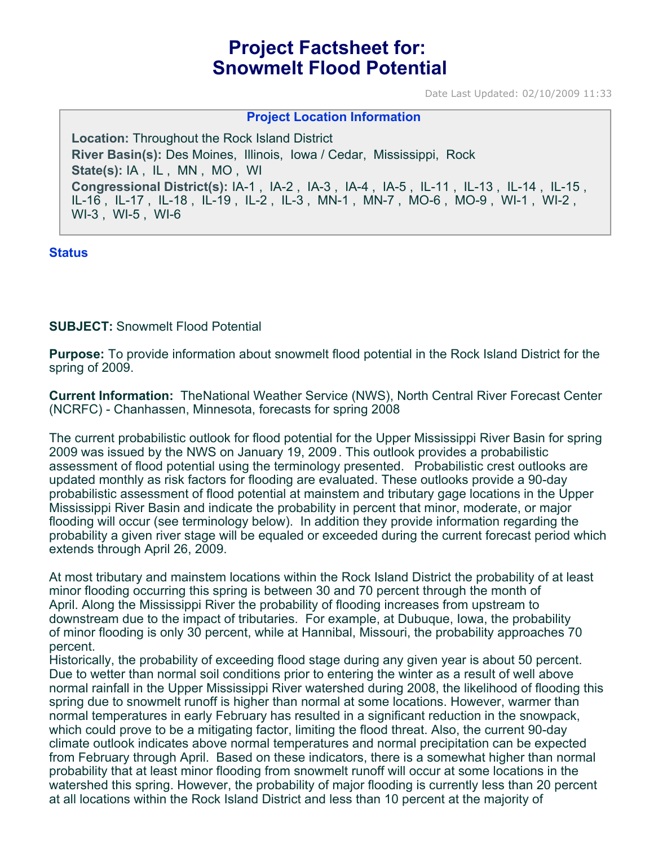# **Project Factsheet for: Snowmelt Flood Potential**

Date Last Updated: 02/10/2009 11:33

#### **Project Location Information**

**Location:** Throughout the Rock Island District **River Basin(s):** Des Moines, Illinois, Iowa / Cedar, Mississippi, Rock **State(s):** IA , IL , MN , MO , WI **Congressional District(s):** IA-1 , IA-2 , IA-3 , IA-4 , IA-5 , IL-11 , IL-13 , IL-14 , IL-15 , IL-16 , IL-17 , IL-18 , IL-19 , IL-2 , IL-3 , MN-1 , MN-7 , MO-6 , MO-9 , WI-1 , WI-2 , WI-3 , WI-5 , WI-6

#### **Status**

**SUBJECT:** Snowmelt Flood Potential

**Purpose:** To provide information about snowmelt flood potential in the Rock Island District for the spring of 2009.

**Current Information:** TheNational Weather Service (NWS), North Central River Forecast Center (NCRFC) - Chanhassen, Minnesota, forecasts for spring 2008

The current probabilistic outlook for flood potential for the Upper Mississippi River Basin for spring 2009 was issued by the NWS on January 19, 2009 . This outlook provides a probabilistic assessment of flood potential using the terminology presented. Probabilistic crest outlooks are updated monthly as risk factors for flooding are evaluated. These outlooks provide a 90-day probabilistic assessment of flood potential at mainstem and tributary gage locations in the Upper Mississippi River Basin and indicate the probability in percent that minor, moderate, or major flooding will occur (see terminology below). In addition they provide information regarding the probability a given river stage will be equaled or exceeded during the current forecast period which extends through April 26, 2009.

At most tributary and mainstem locations within the Rock Island District the probability of at least minor flooding occurring this spring is between 30 and 70 percent through the month of April. Along the Mississippi River the probability of flooding increases from upstream to downstream due to the impact of tributaries. For example, at Dubuque, Iowa, the probability of minor flooding is only 30 percent, while at Hannibal, Missouri, the probability approaches 70 percent.

Historically, the probability of exceeding flood stage during any given year is about 50 percent. Due to wetter than normal soil conditions prior to entering the winter as a result of well above normal rainfall in the Upper Mississippi River watershed during 2008, the likelihood of flooding this spring due to snowmelt runoff is higher than normal at some locations. However, warmer than normal temperatures in early February has resulted in a significant reduction in the snowpack, which could prove to be a mitigating factor, limiting the flood threat. Also, the current 90-day climate outlook indicates above normal temperatures and normal precipitation can be expected from February through April. Based on these indicators, there is a somewhat higher than normal probability that at least minor flooding from snowmelt runoff will occur at some locations in the watershed this spring. However, the probability of major flooding is currently less than 20 percent at all locations within the Rock Island District and less than 10 percent at the majority of